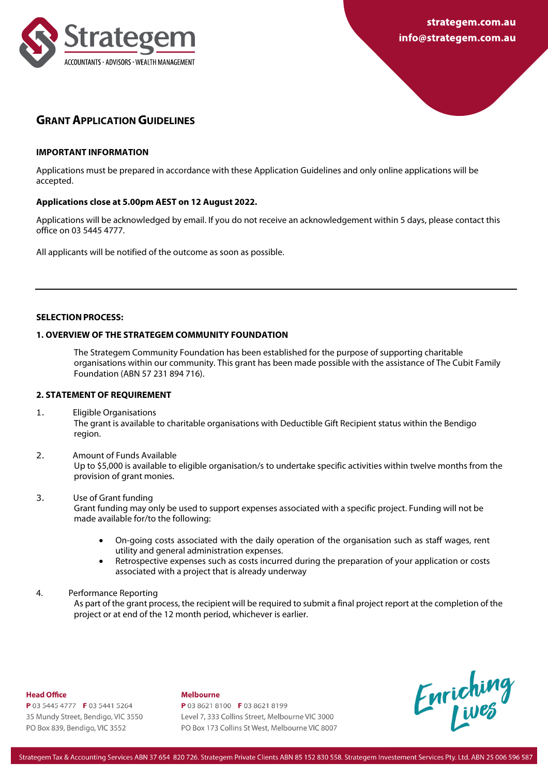

# **GRANT APPLICATION GUIDELINES**

#### **IMPORTANT INFORMATION**

Applications must be prepared in accordance with these Application Guidelines and only online applications will be accepted.

### **Applications close at 5.00pm AEST on 12 August 2022.**

Applications will be acknowledged by email. If you do not receive an acknowledgement within 5 days, please contact this office on 03 5445 4777.

All applicants will be notified of the outcome as soon as possible.

#### **SELECTION PROCESS:**

#### **1. OVERVIEW OF THE STRATEGEM COMMUNITY FOUNDATION**

The Strategem Community Foundation has been established for the purpose of supporting charitable organisations within our community. This grant has been made possible with the assistance of The Cubit Family Foundation (ABN 57 231 894 716).

### **2. STATEMENT OF REQUIREMENT**

- 1. Eligible Organisations The grant is available to charitable organisations with Deductible Gift Recipient status within the Bendigo region.
- 2. Amount of Funds Available

Up to \$5,000 is available to eligible organisation/s to undertake specific activities within twelve months from the provision of grant monies.

- 3. Use of Grant funding Grant funding may only be used to support expenses associated with a specific project. Funding will not be made available for/to the following:
	- On-going costs associated with the daily operation of the organisation such as staff wages, rent utility and general administration expenses.
	- Retrospective expenses such as costs incurred during the preparation of your application or costs associated with a project that is already underway
- 4. Performance Reporting

As part of the grant process, the recipient will be required to submit a final project report at the completion of the project or at end of the 12 month period, whichever is earlier.

#### Head Office

P 03 5445 4777 F 03 5441 5264 35 Mundy Street, Bendigo, VIC 3550 PO Box 839, Bendigo, VIC 3552

#### **Malhourna**

P 03 8621 8100 F 03 8621 8199 Level 7, 333 Collins Street, Melbourne VIC 3000 PO Box 173 Collins St West, Melbourne VIC 8007